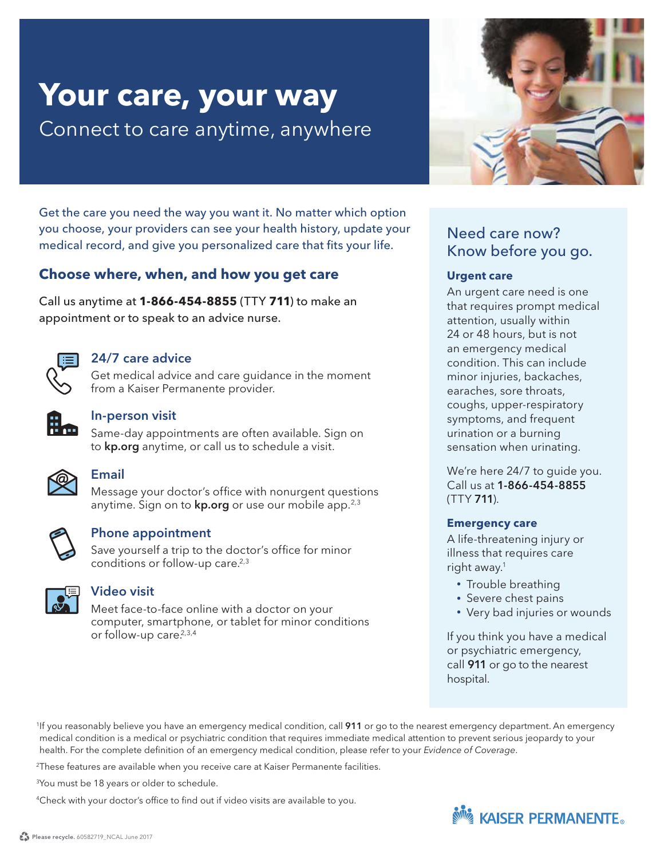# **Your care, your way** Connect to care anytime, anywhere

Get the care you need the way you want it. No matter which option you choose, your providers can see your health history, update your medical record, and give you personalized care that fits your life.

## **Choose where, when, and how you get care**

Call us anytime at **1-866-454-8855** (TTY **711**) to make an appointment or to speak to an advice nurse.



#### 24/7 care advice

Get medical advice and care guidance in the moment from a Kaiser Permanente provider.



#### In-person visit

Same-day appointments are often available. Sign on to **kp.org** anytime, or call us to schedule a visit.



### Email

Message your doctor's office with nonurgent questions anytime. Sign on to **kp.org** or use our mobile app.<sup>2,3</sup>



#### Phone appointment

Save yourself a trip to the doctor's office for minor conditions or follow-up care.<sup>2,3</sup>



#### Video visit

Meet face-to-face online with a doctor on your computer, smartphone, or tablet for minor conditions or follow-up care.<sup>2,3,4</sup>



# Need care now? Know before you go.

#### **Urgent care**

An urgent care need is one that requires prompt medical attention, usually within 24 or 48 hours, but is not an emergency medical condition. This can include minor injuries, backaches, earaches, sore throats, coughs, upper-respiratory symptoms, and frequent urination or a burning sensation when urinating.

We're here 24/7 to guide you. Call us at 1-866-454-8855 (TTY 711).

#### **Emergency care**

A life-threatening injury or illness that requires care right away.<sup>1</sup>

- Trouble breathing
- Severe chest pains
- Very bad injuries or wounds

If you think you have a medical or psychiatric emergency, call 911 or go to the nearest hospital.

<sup>1</sup>If you reasonably believe you have an emergency medical condition, call 911 or go to the nearest emergency department. An emergency medical condition is a medical or psychiatric condition that requires immediate medical attention to prevent serious jeopardy to your health. For the complete definition of an emergency medical condition, please refer to your Evidence of Coverage.

2 These features are available when you receive care at Kaiser Permanente facilities.

<sup>3</sup>You must be 18 years or older to schedule.

<sup>4</sup> Check with your doctor's office to find out if video visits are available to you.

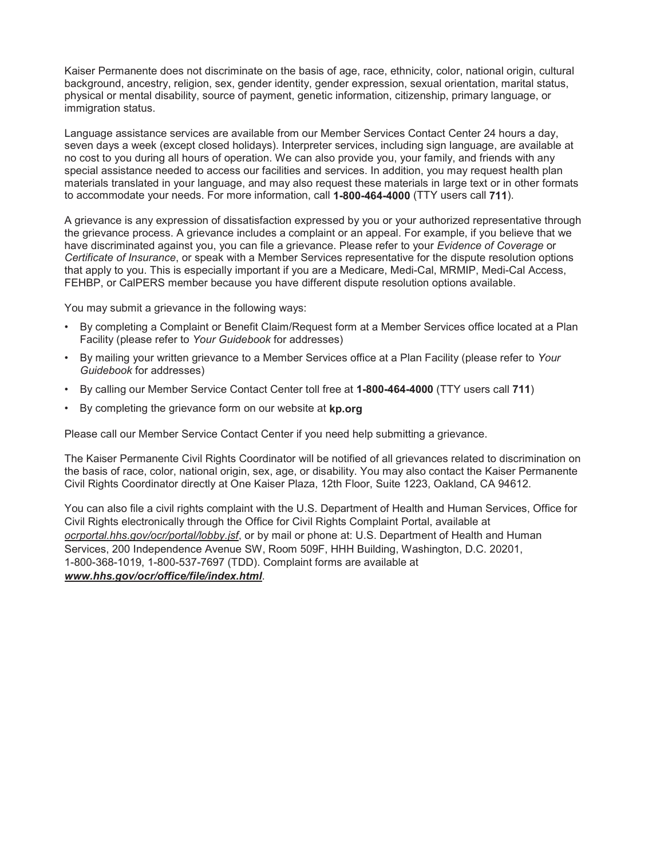Kaiser Permanente does not discriminate on the basis of age, race, ethnicity, color, national origin, cultural background, ancestry, religion, sex, gender identity, gender expression, sexual orientation, marital status, physical or mental disability, source of payment, genetic information, citizenship, primary language, or immigration status.

Language assistance services are available from our Member Services Contact Center 24 hours a day, seven days a week (except closed holidays). Interpreter services, including sign language, are available at no cost to you during all hours of operation. We can also provide you, your family, and friends with any special assistance needed to access our facilities and services. In addition, you may request health plan materials translated in your language, and may also request these materials in large text or in other formats to accommodate your needs. For more information, call **1-800-464-4000** (TTY users call **711**).

A grievance is any expression of dissatisfaction expressed by you or your authorized representative through the grievance process. A grievance includes a complaint or an appeal. For example, if you believe that we have discriminated against you, you can file a grievance. Please refer to your *Evidence of Coverage* or *Certificate of Insurance*, or speak with a Member Services representative for the dispute resolution options that apply to you. This is especially important if you are a Medicare, Medi-Cal, MRMIP, Medi-Cal Access, FEHBP, or CalPERS member because you have different dispute resolution options available.

You may submit a grievance in the following ways:

- By completing a Complaint or Benefit Claim/Request form at a Member Services office located at a Plan Facility (please refer to *Your Guidebook* for addresses)
- By mailing your written grievance to a Member Services office at a Plan Facility (please refer to *Your Guidebook* for addresses)
- By calling our Member Service Contact Center toll free at **1-800-464-4000** (TTY users call **711**)
- By completing the grievance form on our website at **kp.org**

Please call our Member Service Contact Center if you need help submitting a grievance.

The Kaiser Permanente Civil Rights Coordinator will be notified of all grievances related to discrimination on the basis of race, color, national origin, sex, age, or disability. You may also contact the Kaiser Permanente Civil Rights Coordinator directly at One Kaiser Plaza, 12th Floor, Suite 1223, Oakland, CA 94612.

You can also file a civil rights complaint with the U.S. Department of Health and Human Services, Office for Civil Rights electronically through the Office for Civil Rights Complaint Portal, available at *ocrportal.hhs.gov/ocr/portal/lobby.jsf*, or by mail or phone at: U.S. Department of Health and Human Services, 200 Independence Avenue SW, Room 509F, HHH Building, Washington, D.C. 20201, 1-800-368-1019, 1-800-537-7697 (TDD). Complaint forms are available at *www.hhs.gov/ocr/office/file/index.html*.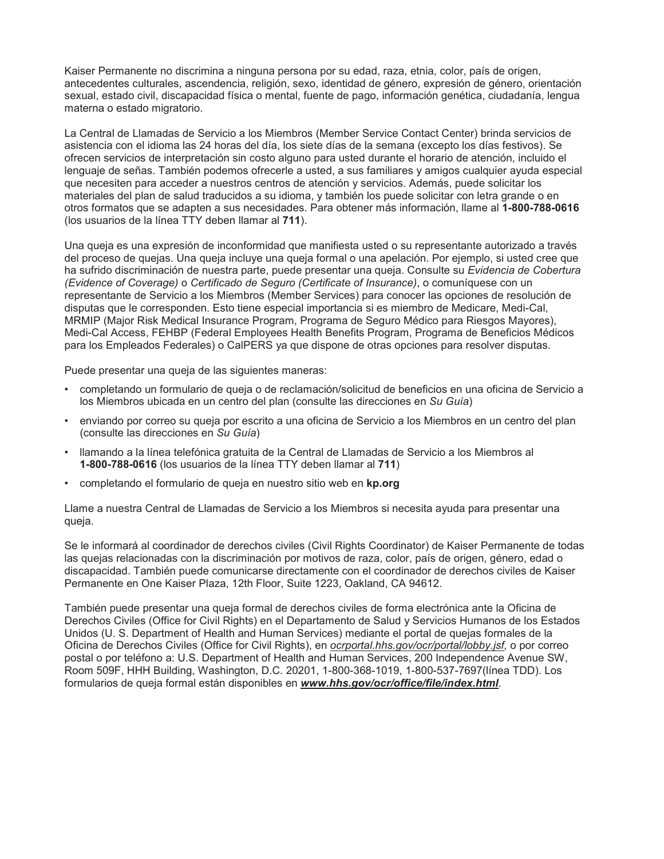Kaiser Permanente no discrimina a ninguna persona por su edad, raza, etnia, color, país de origen, antecedentes culturales, ascendencia, religión, sexo, identidad de género, expresión de género, orientación sexual, estado civil, discapacidad física o mental, fuente de pago, información genética, ciudadanía, lengua materna o estado migratorio.

La Central de Llamadas de Servicio a los Miembros (Member Service Contact Center) brinda servicios de asistencia con el idioma las 24 horas del día, los siete días de la semana (excepto los días festivos). Se ofrecen servicios de interpretación sin costo alguno para usted durante el horario de atención, incluido el lenguaje de señas. También podemos ofrecerle a usted, a sus familiares y amigos cualquier ayuda especial que necesiten para acceder a nuestros centros de atención y servicios. Además, puede solicitar los materiales del plan de salud traducidos a su idioma, y también los puede solicitar con letra grande o en otros formatos que se adapten a sus necesidades. Para obtener más información, llame al **1-800-788-0616**  (los usuarios de la línea TTY deben llamar al **711**).

Una queja es una expresión de inconformidad que manifiesta usted o su representante autorizado a través del proceso de quejas. Una queja incluye una queja formal o una apelación. Por ejemplo, si usted cree que ha sufrido discriminación de nuestra parte, puede presentar una queja. Consulte su *Evidencia de Cobertura (Evidence of Coverage)* o *Certificado de Seguro (Certificate of Insurance)*, o comuníquese con un representante de Servicio a los Miembros (Member Services) para conocer las opciones de resolución de disputas que le corresponden. Esto tiene especial importancia si es miembro de Medicare, Medi-Cal, MRMIP (Major Risk Medical Insurance Program, Programa de Seguro Médico para Riesgos Mayores), Medi-Cal Access, FEHBP (Federal Employees Health Benefits Program, Programa de Beneficios Médicos para los Empleados Federales) o CalPERS ya que dispone de otras opciones para resolver disputas.

Puede presentar una queja de las siguientes maneras:

- completando un formulario de queja o de reclamación/solicitud de beneficios en una oficina de Servicio a los Miembros ubicada en un centro del plan (consulte las direcciones en *Su Guía*)
- enviando por correo su queja por escrito a una oficina de Servicio a los Miembros en un centro del plan (consulte las direcciones en *Su Guía*)
- llamando a la línea telefónica gratuita de la Central de Llamadas de Servicio a los Miembros al **1-800-788-0616** (los usuarios de la línea TTY deben llamar al **711**)
- completando el formulario de queja en nuestro sitio web en **kp.org**

Llame a nuestra Central de Llamadas de Servicio a los Miembros si necesita ayuda para presentar una queja.

Se le informará al coordinador de derechos civiles (Civil Rights Coordinator) de Kaiser Permanente de todas las quejas relacionadas con la discriminación por motivos de raza, color, país de origen, género, edad o discapacidad. También puede comunicarse directamente con el coordinador de derechos civiles de Kaiser Permanente en One Kaiser Plaza, 12th Floor, Suite 1223, Oakland, CA 94612.

También puede presentar una queja formal de derechos civiles de forma electrónica ante la Oficina de Derechos Civiles (Office for Civil Rights) en el Departamento de Salud y Servicios Humanos de los Estados Unidos (U. S. Department of Health and Human Services) mediante el portal de quejas formales de la Oficina de Derechos Civiles (Office for Civil Rights), en *ocrportal.hhs.gov/ocr/portal/lobby.jsf,* o por correo postal o por teléfono a: U.S. Department of Health and Human Services, 200 Independence Avenue SW, Room 509F, HHH Building, Washington, D.C. 20201, 1-800-368-1019, 1-800-537-7697(línea TDD). Los formularios de queja formal están disponibles en *www.hhs.gov/ocr/office/file/index.html*.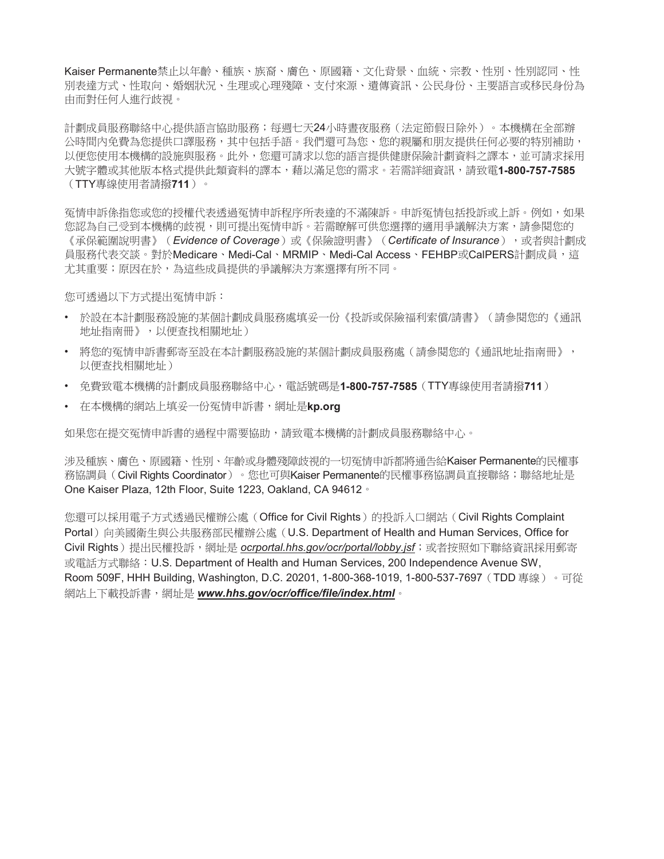Kaiser Permanente禁止以年齡、種族、族裔、膚色、原國籍、文化背景、血統、宗教、性別、性別認同、性 別表達方式、件取成八玾殘障、支付來源、潰傳資訊、公民身份、主要語言或移民身份為 由而對任何人進行歧視。

計劃成員服務聯絡中心提供語言協助服務;每週七天24小時書夜服務(法定節假日除外)。本機構在全部辦 公時間內免費為您提供口譯服務,其中包括手語。我們還可為您、您的親屬和朋友提供任何必要的特別補助, 以便您使用本機構的設施與服務。此外,您還可請求以您的語言提供健康保險計劃資料之譯本,並可請求採用 大號字體或其他版本格式提供此類資料的譯本,藉以滿足您的需求。若需詳細資訊,請致電**1-800-757-7585** (TTY專線使用者請撥711)。

冤情申訴係指您或您的授權代表诱過冤情申訴程序所表達的不滿陳訴。申訴冤情包括投訴或上訴。例如,如果 您認為自己受到本機構的歧視,則可提出冤情申訴。若需瞭解可供您選擇的適用爭議解決方案,請參閱您的 《承保範圍說明書》(Evidence of Coverage)或《保險證明書》(Certificate of Insurance), 或者與計劃成 員服務代表交談。對於Medicare、Medi-Cal、MRMIP﹑Medi-Cal Access、FEHBP或CalPERS計劃成員,這 尤其重要;原因在於,為這些成員提供的爭議解決方案選擇有所不同。

您可透過以下方式提出冤情申訴:

- 於設在本計劃服務説的某個計劃成員服務處填妥一份《投訴或保險福利索償/請書》(請參閱您的《通訊 地址指南冊》,以便杳找相關地址)
- 將您的冤情申訴書郵寄至設在本計劃服務設施的某個計劃成員服務處(請參閱您的《通訊地址指南冊》, 以便杳找相關地址)
- 免費致雷本機構的計劃成員服務聯絡中心,雷話號碼是**1-800-757-7585**(TTY專線使用者請撥**711**)
- 在本機構的網站上填妥一份冤情申訴書,網址是kp.org

如果您在提交冤情申訴書的過程中需要協助,請致電本機構的計劃成員服務聯絡中心。

涉及種族、膚色、原國籍、性別、年齡或身體殘障歧視的一切冤情申訴都將通告給Kaiser Permanente的民權事 務協調員(Civil Rights Coordinator)。您也可與Kaiser Permanente的民權事務協調員直接聯絡;聯絡地址是 One Kaiser Plaza, 12th Floor, Suite 1223, Oakland, CA 94612 ·

您還可以採用電子方式透過民權辦公處(Office for Civil Rights) 的投訴入口網站(Civil Rights Complaint Portal)向美國衛牛與公共服務部民權辦公處(U.S. Department of Health and Human Services, Office for Civil Rights)提出民權投訴,網址是 ocrportal.hhs.gov/ocr/portal/lobby.jsf;或者按照如下聯絡資訊採用郵寄 或電話方式聯絡: U.S. Department of Health and Human Services, 200 Independence Avenue SW, Room 509F, HHH Building, Washington, D.C. 20201, 1-800-368-1019, 1-800-537-7697 (TDD 專線) 。可從 網站上下載投訴書,網址是 www.hhs.gov/ocr/office/file/index.html。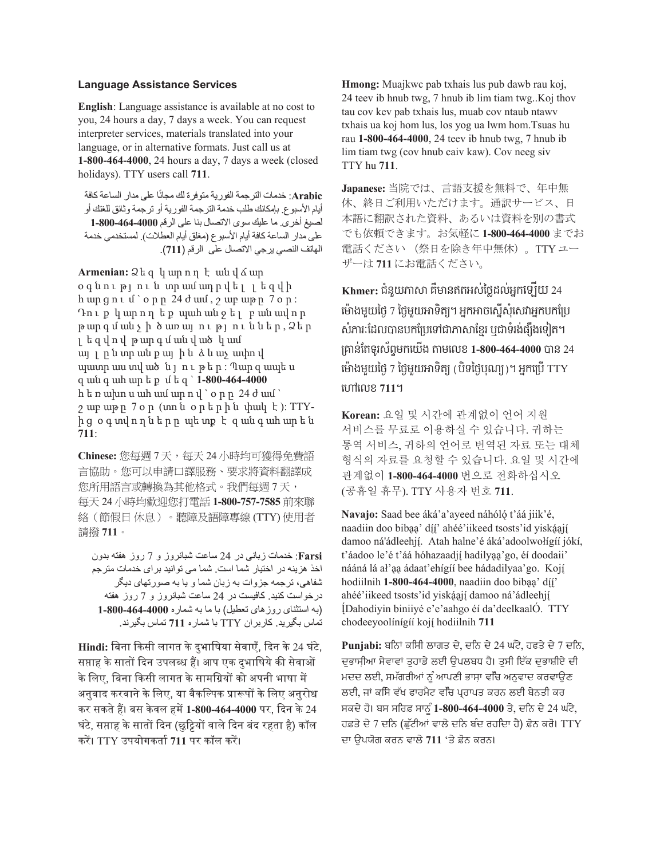#### **Language Assistance Services**

**English**: Language assistance is available at no cost to you, 24 hours a day, 7 days a week. You can request interpreter services, materials translated into your language, or in alternative formats. Just call us at **1-800-464-4000**, 24 hours a day, 7 days a week (closed holidays). TTY users call **711**.

Arabic: خدمات الترجمة الفورية متوفرة لك مجانًا على مدار الساعة كافة أيام الأسبو ع بإمكانك طلب خدمة التر جمة الفور ية أو تر جمة و ثائق للغتك أو لصيغ أخرى ِ ما عليك سوى الاتصال بنا على الرقم 4000-464-800-1 على مدار الساعة كافة أيام الأسبوع (مغلق أيام العطلات)<sub>.</sub> لمستخدمي خدمة الهاتف النصبي برجي الاتصال على الرقم (711).

**Armenian:** ɚɼ ɽ ʆ ɸʗ ʏ ʉ ɾ ɸʍ ʕ ʊ ɸʗ օգնություն տրամադրվել լեզվի  $h$  ungni  $f \circ p$ n 24  $d$  uuf,  $\gamma$  unguna  $7$  o  $p$ : Դուք կարող եք պահանջել բանավոր  $p$  արգմանչի ծառայություններ,  $2$ եր յ եզվով թարգմանված կամ այլ ըն տրան քայ ին ձև աչ ափով պատրաստված նլութեր:Պարզապես ɽ ɸʍ ɺ ɸʇ ɸʗ ɼ ʛ ʋɼɽ ` **1-800-464-4000** h t n wh u wh wu wp n y `o n n 24 d wu `  $\gamma$  ար աթր 7 օր (տոն օրերին փակ է): TTYից օգտվողները պետք է զանգահարեն **711**:

Chinese: 您每週7天,每天24小時均可獲得免費語 言協助。您可以申請口譯服務、要求將資料翻譯成 您所用語言或轉換為其他格式。我們每週 7 天, 每天 24 小時均歡迎您打電話 1-800-757-7585 前來聯 絡(節假日休息)。聽障及語障專線(TTY)使用者 請撥 711。

Farsi: خدمات زبانی در 24 ساعت شبانروز و 7 روز هفته بدون اخذ هزینه در اختیار شما است. شما می توانید بر ای خدمات مترجم شفاهي، ترجمه جزوات به زبان شما و يا به صورتهاي ديگر درخواست کنید. کافیست در 24 ساعت شبانروز و 7 روز هفته (به استثنای روز های تعطیل) با ما به شماره 4000-464-800-1 نماس بگیرید. کاربران TTY با شماره 711 تماس بگیرند.

Hindi: बिना किसी लागत के दुभाषिया सेवाएँ, दिन के 24 घंटे, सप्ताह के सातों दिन उपलब्ध हैं। आप एक दभाषिये की सेवाओं के लिए, बिना किसी लागत के सामग्रियों को अपनी भाषा में अनुवाद करवाने के लिए, या वैकल्पिक प्रारूपों के लिए अनुरोध कर सकते हैं। बस केवल हमें 1-800-464-4000 पर, दिन के 24 घंटे, सप्ताह के सातों दिन (छट्टियों वाले दिन बंद रहता है) कॉल करें। TTY उपयोगकर्ता 711 पर कॉल करें।

**Hmong:** Muajkwc pab txhais lus pub dawb rau koj, 24 teev ib hnub twg, 7 hnub ib lim tiam twg..Koj thov tau cov kev pab txhais lus, muab cov ntaub ntawv txhais ua koj hom lus, los yog ua lwm hom.Tsuas hu rau **1-800-464-4000**, 24 teev ib hnub twg, 7 hnub ib lim tiam twg (cov hnub caiv kaw). Cov neeg siv TTY hu **711**.

Japanese: 当院では、言語支援を無料で、年中無 休、終日ご利用いただけます。通訳サービス、日 本語に翻訳された資料、あるいは資料を別の書式 でも依頼できます。お気軽に 1-800-464-4000 までお 電話ください (祭日を除き年中無休)。TTY ユー ザーは 711 にお電話ください。

**Khmer: +7h \_=ǫdz &\Ǭ7I3FCme4¤.?Fm \$cE`=** 24 **cǬú(<\_=e4**7 **e4< \_=Ƕ53¢v Y F\$Ƕ)cC `C]hcCǰF\$8\$d£8 Chǫ>jd.?Ǩ78\$d£8cȗǛǫdzd%¡> PǛ5h>(9¦ m [(c5b3v £ǖ7md35^>Cr:<\$c=`( ǣ<c?% 1-800-464-4000 Ǩ7** 24 **cǬú(<\_=e4**7 **e4< \_=Ƕ53¢ Y 8Y5e48]2¢ v F\$c£8`**TTY **cȦc?% 711v**

Korean: 요일 및 시간에 관계없이 언어 지워 서비스를 무료로 이용하실 수 있습니다. 귀하는 통역 서비스, 귀하의 언어로 번역된 자료 또는 대체 형식의 자료를 요청할 수 있습니다. 요일 및 시간에 관계없이 1-800-464-4000 번으로 전화하십시오 (Ὃ䦊㧒 䦊ⶊ). TTY ㌂㣿㧦 ⻞䢎 **711**.

Navajo: Saad bee áká'a'ayeed náhóló t'áá jiik'é, naadiin doo bibaa' díí' ahéé'iikeed tsosts'id yiskáají damoo ná'ádleehjí. Atah halne'é áká'adoolwołígíí jókí, t'áadoo le'é t'áá hóhazaadjí hadilyaa'go, éí doodaii' nááná lá al'aa ádaat'ehígíí bee hádadilyaa'go. Kojí hodiilnih **1-800-464-4000**, naadiin doo bibaa' díi' ahéé'iikeed tsosts'id yiskáají damoo ná'ádleehjí **(Dahodiyin biniiy4 e'e'aahgo 47 da'deelkaal). TTY chodeeyool7n7g77 koj9 hodiilnih 711** 

Punjabi: ਬਨਿਾਂ ਕਸਿੀ ਲਾਗਤ ਦੇ, ਦਨਿ ਦੇ 24 ਘੰਟੇ, ਹਫਤੇ ਦੇ 7 ਦਨਿ, ਦਭਾਸੀਆ ਸੇਵਾਵਾਂ ਤਹਾਡੇ ਲਈ ਉਪਲਬਧ ਹੈ। ਤਸੀ ਇੱਕ ਦਭਾਸ਼ੀਏ ਦੀ ਮਦਦ ਲਈ, ਸਮੱਗਰੀਆਂ ਨੂੰ ਆਪਣੀ ਭਾਸ਼ਾ ਵਰਿ ਅਨੁਵਾਦ ਕਰਵਾਉਣ ਲਈ, ਜਾਂ ਕਸਿੇ ਵੱਖ ਫਾਰਮੈਟ ਵਚਿ ਪ੍ਰਰਾਪਤ ਕਰਨ ਲਈ ਬੇਨਤੀ ਕਰ ਸਕਦੇ ਹੋ। ਬਸ ਸਰਿਫ਼ ਸਾਨੂੰ 1-800-464-4000 ਤੇ, ਦਨਿ ਦੇ 24 ਘੰਟੇ, ਹਫ਼ਤੇ ਦੇ 7 ਦਨਿ (ਛੱਟੀਆਂ ਵਾਲੇ ਦਨਿ ਬੰਦ ਰਹਦਿਾ ਹੈ) ਫ਼ੋਨ ਕਰੋ। TTY ਦਾ ਉਪਯੋਗ ਕਰਨ ਵਾਲੇ 711 'ਤੇ ਫ਼ੋਨ ਕਰਨ।